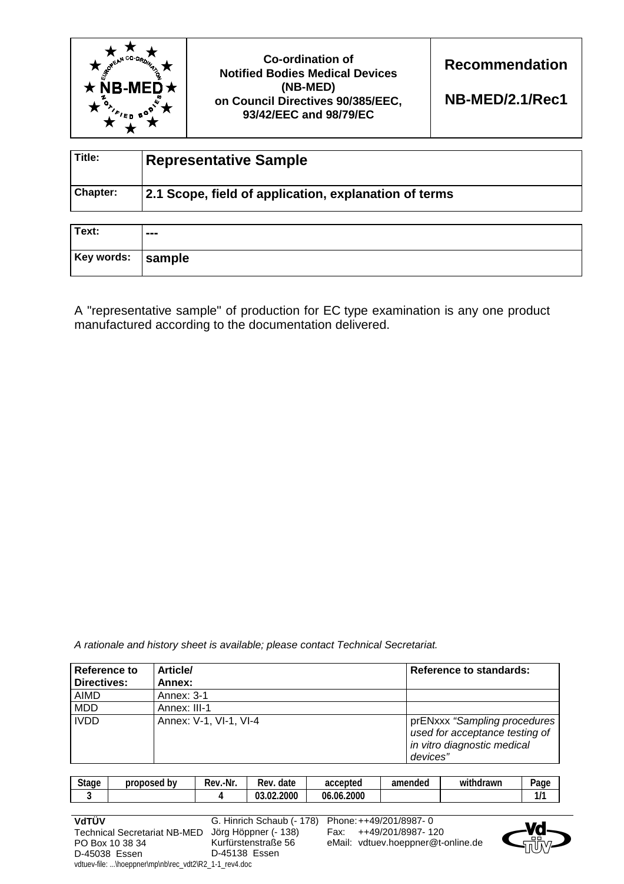

**Co-ordination of Notified Bodies Medical Devices (NB-MED) on Council Directives 90/385/EEC, 93/42/EEC and 98/79/EC** 

**Recommendation** 

**NB-MED/2.1/Rec1**

| Title:   | <b>Representative Sample</b>                          |
|----------|-------------------------------------------------------|
| Chapter: | 2.1 Scope, field of application, explanation of terms |

| Text:             | --- |
|-------------------|-----|
| Key words: sample |     |

A "representative sample" of production for EC type examination is any one product manufactured according to the documentation delivered.

*A rationale and history sheet is available; please contact Technical Secretariat.* 

| Reference to | <b>Article/</b>        | <b>Reference to standards:</b>                                                                            |
|--------------|------------------------|-----------------------------------------------------------------------------------------------------------|
| Directives:  | Annex:                 |                                                                                                           |
| <b>AIMD</b>  | Annex: 3-1             |                                                                                                           |
| <b>MDD</b>   | Annex: III-1           |                                                                                                           |
| <b>IVDD</b>  | Annex: V-1, VI-1, VI-4 | prENxxx "Sampling procedures<br>used for acceptance testing of<br>in vitro diagnostic medical<br>devices" |

| $\sim$<br>štage | b٧<br>nron<br>osed<br>יחר | .-Nr<br>-<br>Rev | -<br>date<br>Rev | accepted           | amend<br>ndeo | $\cdots$<br>drawr<br>Wİ | $P$ age |
|-----------------|---------------------------|------------------|------------------|--------------------|---------------|-------------------------|---------|
|                 |                           |                  | .2000<br>ົ<br>Ωũ | .2000<br>06<br>-06 |               |                         | .,      |

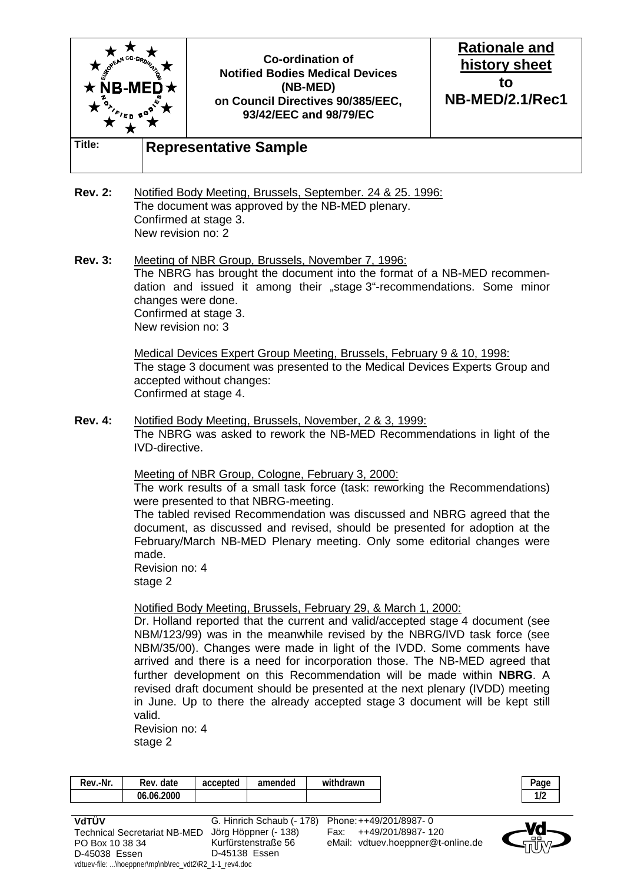

- **Rev. 2:** Notified Body Meeting, Brussels, September. 24 & 25. 1996: The document was approved by the NB-MED plenary. Confirmed at stage 3. New revision no: 2
- **Rev. 3:** Meeting of NBR Group, Brussels, November 7, 1996: The NBRG has brought the document into the format of a NB-MED recommendation and issued it among their "stage 3"-recommendations. Some minor changes were done. Confirmed at stage 3. New revision no: 3

 Medical Devices Expert Group Meeting, Brussels, February 9 & 10, 1998: The stage 3 document was presented to the Medical Devices Experts Group and accepted without changes: Confirmed at stage 4.

**Rev. 4:** Notified Body Meeting, Brussels, November, 2 & 3, 1999: The NBRG was asked to rework the NB-MED Recommendations in light of the IVD-directive.

Meeting of NBR Group, Cologne, February 3, 2000:

 The work results of a small task force (task: reworking the Recommendations) were presented to that NBRG-meeting.

 The tabled revised Recommendation was discussed and NBRG agreed that the document, as discussed and revised, should be presented for adoption at the February/March NB-MED Plenary meeting. Only some editorial changes were made.

 Revision no: 4 stage 2

## Notified Body Meeting, Brussels, February 29, & March 1, 2000:

 Dr. Holland reported that the current and valid/accepted stage 4 document (see NBM/123/99) was in the meanwhile revised by the NBRG/IVD task force (see NBM/35/00). Changes were made in light of the IVDD. Some comments have arrived and there is a need for incorporation those. The NB-MED agreed that further development on this Recommendation will be made within **NBRG**. A revised draft document should be presented at the next plenary (IVDD) meeting in June. Up to there the already accepted stage 3 document will be kept still valid.

 Revision no: 4 stage 2

| Rev.-Nr. | date<br>Rev. | accepted | amended | .<br>withdrawn |
|----------|--------------|----------|---------|----------------|
|          | 06.06.2000   |          |         |                |